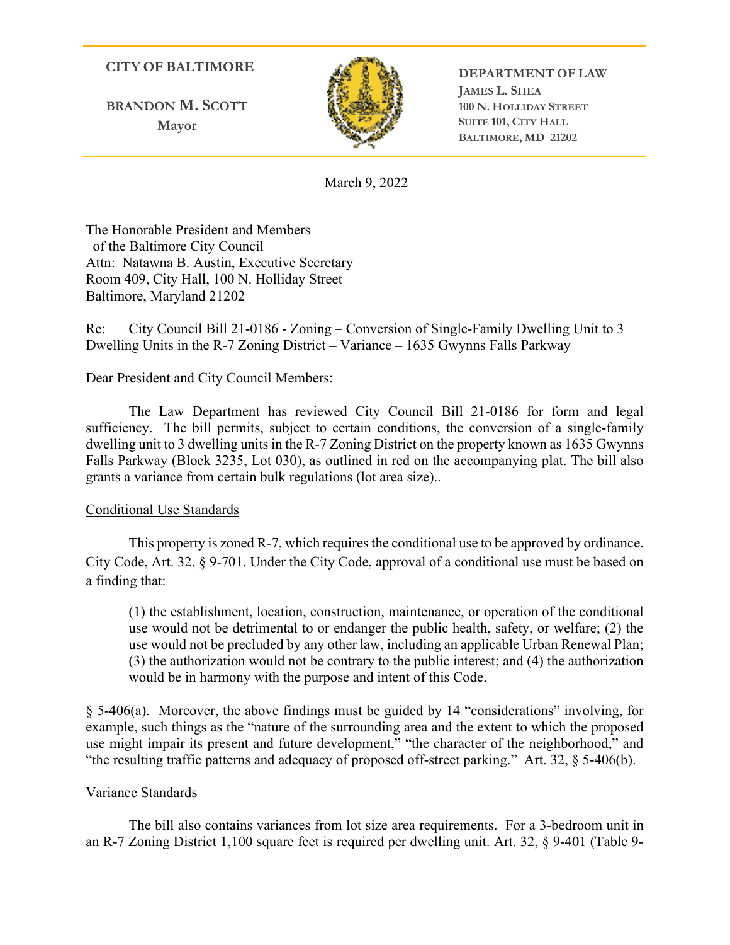# **CITY OF BALTIMORE**

**BRANDON M. SCOTT Mayor**



**DEPARTMENT OF LAW JAMES L. SHEA 100 N. HOLLIDAY STREET SUITE 101, CITY HALL BALTIMORE, MD 21202**

March 9, 2022

The Honorable President and Members of the Baltimore City Council Attn: Natawna B. Austin, Executive Secretary Room 409, City Hall, 100 N. Holliday Street Baltimore, Maryland 21202

Re: City Council Bill 21-0186 - Zoning – Conversion of Single-Family Dwelling Unit to 3 Dwelling Units in the R-7 Zoning District – Variance – 1635 Gwynns Falls Parkway

## Dear President and City Council Members:

 The Law Department has reviewed City Council Bill 21-0186 for form and legal sufficiency. The bill permits, subject to certain conditions, the conversion of a single-family dwelling unit to 3 dwelling units in the R-7 Zoning District on the property known as 1635 Gwynns Falls Parkway (Block 3235, Lot 030), as outlined in red on the accompanying plat. The bill also grants a variance from certain bulk regulations (lot area size)..

### Conditional Use Standards

This property is zoned R-7, which requires the conditional use to be approved by ordinance. City Code, Art. 32, § 9-701. Under the City Code, approval of a conditional use must be based on a finding that:

(1) the establishment, location, construction, maintenance, or operation of the conditional use would not be detrimental to or endanger the public health, safety, or welfare; (2) the use would not be precluded by any other law, including an applicable Urban Renewal Plan; (3) the authorization would not be contrary to the public interest; and (4) the authorization would be in harmony with the purpose and intent of this Code.

§ 5-406(a). Moreover, the above findings must be guided by 14 "considerations" involving, for example, such things as the "nature of the surrounding area and the extent to which the proposed use might impair its present and future development," "the character of the neighborhood," and "the resulting traffic patterns and adequacy of proposed off-street parking." Art. 32, § 5-406(b).

### Variance Standards

The bill also contains variances from lot size area requirements. For a 3-bedroom unit in an R-7 Zoning District 1,100 square feet is required per dwelling unit. Art. 32, § 9-401 (Table 9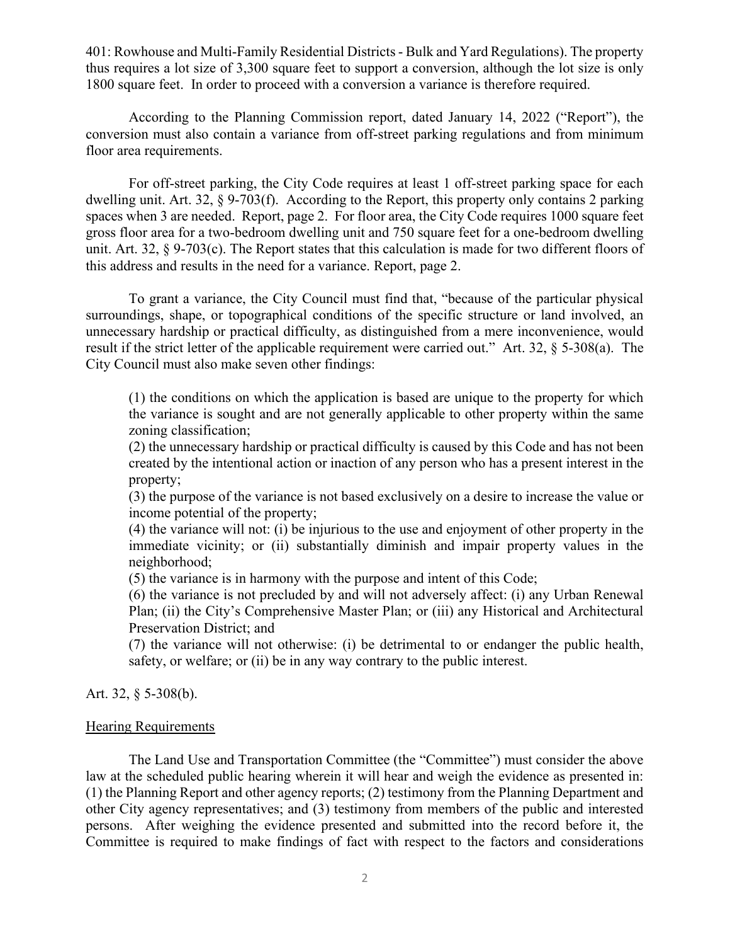401: Rowhouse and Multi-Family Residential Districts - Bulk and Yard Regulations). The property thus requires a lot size of 3,300 square feet to support a conversion, although the lot size is only 1800 square feet. In order to proceed with a conversion a variance is therefore required.

According to the Planning Commission report, dated January 14, 2022 ("Report"), the conversion must also contain a variance from off-street parking regulations and from minimum floor area requirements.

For off-street parking, the City Code requires at least 1 off-street parking space for each dwelling unit. Art. 32, § 9-703(f). According to the Report, this property only contains 2 parking spaces when 3 are needed. Report, page 2. For floor area, the City Code requires 1000 square feet gross floor area for a two-bedroom dwelling unit and 750 square feet for a one-bedroom dwelling unit. Art. 32, § 9-703(c). The Report states that this calculation is made for two different floors of this address and results in the need for a variance. Report, page 2.

To grant a variance, the City Council must find that, "because of the particular physical surroundings, shape, or topographical conditions of the specific structure or land involved, an unnecessary hardship or practical difficulty, as distinguished from a mere inconvenience, would result if the strict letter of the applicable requirement were carried out." Art. 32, § 5-308(a). The City Council must also make seven other findings:

(1) the conditions on which the application is based are unique to the property for which the variance is sought and are not generally applicable to other property within the same zoning classification;

(2) the unnecessary hardship or practical difficulty is caused by this Code and has not been created by the intentional action or inaction of any person who has a present interest in the property;

(3) the purpose of the variance is not based exclusively on a desire to increase the value or income potential of the property;

(4) the variance will not: (i) be injurious to the use and enjoyment of other property in the immediate vicinity; or (ii) substantially diminish and impair property values in the neighborhood;

(5) the variance is in harmony with the purpose and intent of this Code;

(6) the variance is not precluded by and will not adversely affect: (i) any Urban Renewal Plan; (ii) the City's Comprehensive Master Plan; or (iii) any Historical and Architectural Preservation District; and

(7) the variance will not otherwise: (i) be detrimental to or endanger the public health, safety, or welfare; or (ii) be in any way contrary to the public interest.

Art. 32, § 5-308(b).

#### Hearing Requirements

The Land Use and Transportation Committee (the "Committee") must consider the above law at the scheduled public hearing wherein it will hear and weigh the evidence as presented in: (1) the Planning Report and other agency reports; (2) testimony from the Planning Department and other City agency representatives; and (3) testimony from members of the public and interested persons. After weighing the evidence presented and submitted into the record before it, the Committee is required to make findings of fact with respect to the factors and considerations